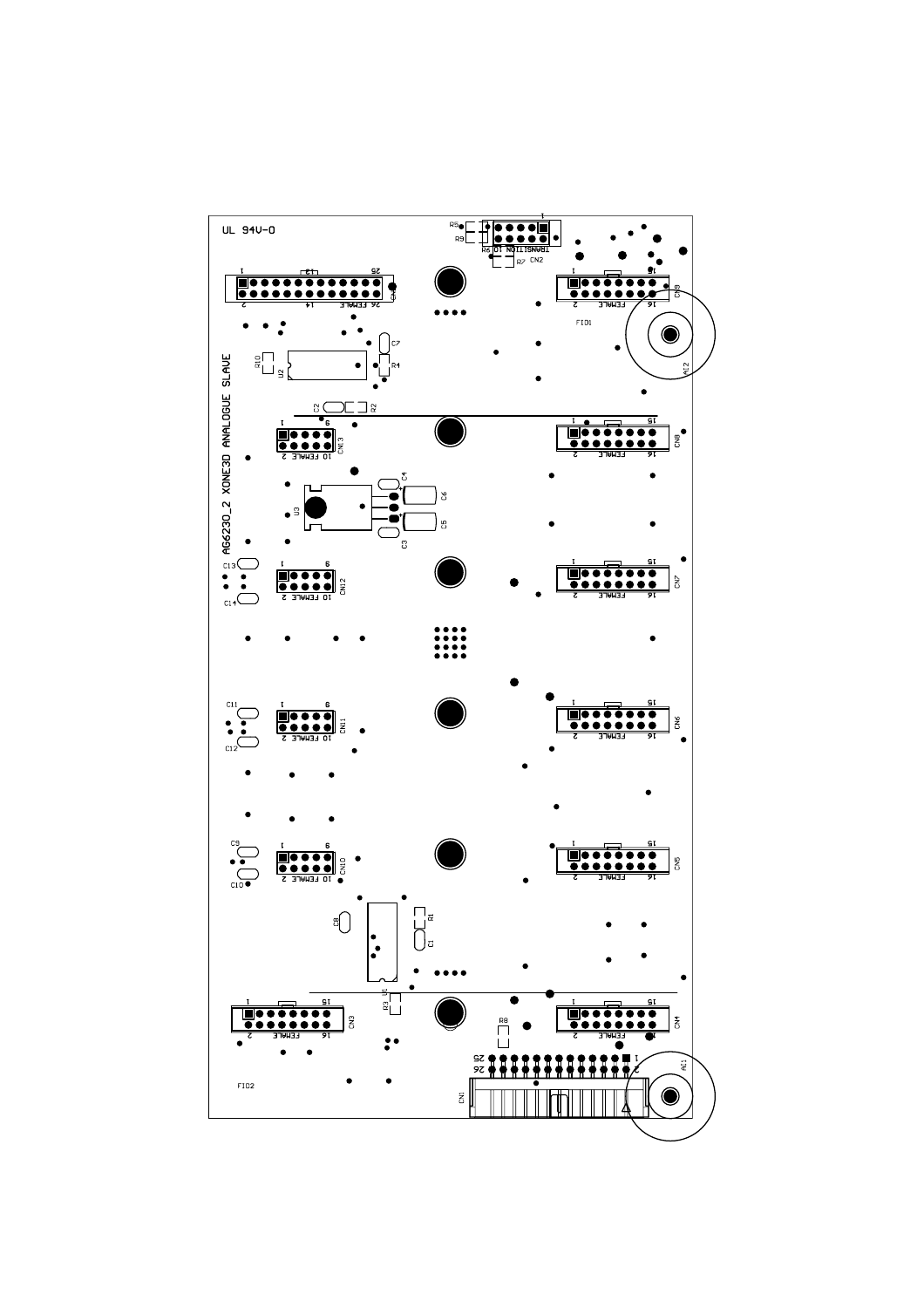